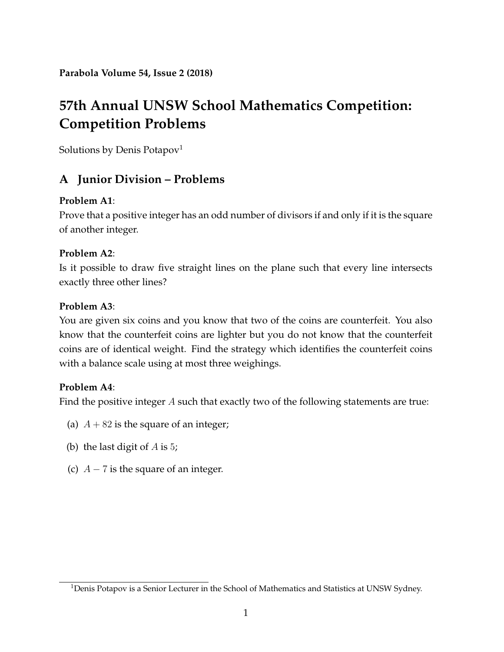**Parabola Volume 54, Issue 2 (2018)**

# **57th Annual UNSW School Mathematics Competition: Competition Problems**

Solutions by Denis Potapov<sup>[1](#page-0-0)</sup>

# **A Junior Division – Problems**

#### **Problem A1**:

Prove that a positive integer has an odd number of divisors if and only if it is the square of another integer.

## **Problem A2**:

Is it possible to draw five straight lines on the plane such that every line intersects exactly three other lines?

#### **Problem A3**:

You are given six coins and you know that two of the coins are counterfeit. You also know that the counterfeit coins are lighter but you do not know that the counterfeit coins are of identical weight. Find the strategy which identifies the counterfeit coins with a balance scale using at most three weighings.

#### **Problem A4**:

Find the positive integer A such that exactly two of the following statements are true:

- (a)  $A + 82$  is the square of an integer;
- (b) the last digit of  $A$  is 5;
- (c)  $A 7$  is the square of an integer.

<span id="page-0-0"></span><sup>&</sup>lt;sup>1</sup>Denis Potapov is a Senior Lecturer in the School of Mathematics and Statistics at UNSW Sydney.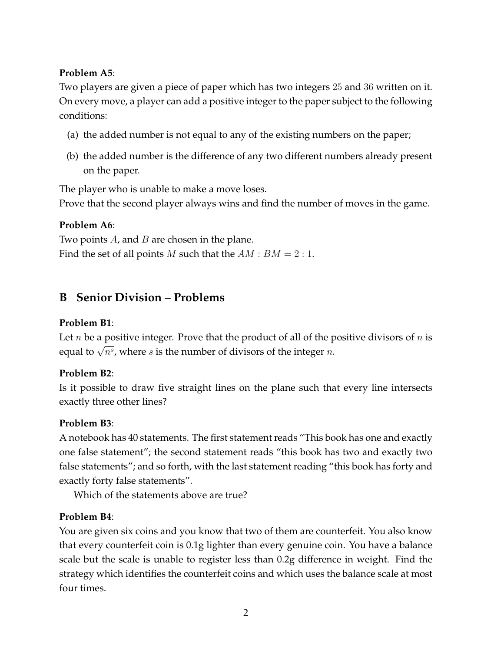## **Problem A5**:

Two players are given a piece of paper which has two integers 25 and 36 written on it. On every move, a player can add a positive integer to the paper subject to the following conditions:

- (a) the added number is not equal to any of the existing numbers on the paper;
- (b) the added number is the difference of any two different numbers already present on the paper.

The player who is unable to make a move loses.

Prove that the second player always wins and find the number of moves in the game.

## **Problem A6**:

Two points  $A$ , and  $B$  are chosen in the plane. Find the set of all points M such that the  $AM : BM = 2 : 1$ .

# **B Senior Division – Problems**

## **Problem B1**:

Let *n* be a positive integer. Prove that the product of all of the positive divisors of *n* is Exercial positive integer. These that the product of an or the property equal to  $\sqrt{n^s}$ , where s is the number of divisors of the integer n.

## **Problem B2**:

Is it possible to draw five straight lines on the plane such that every line intersects exactly three other lines?

## **Problem B3**:

A notebook has 40 statements. The first statement reads "This book has one and exactly one false statement"; the second statement reads "this book has two and exactly two false statements"; and so forth, with the last statement reading "this book has forty and exactly forty false statements".

Which of the statements above are true?

## **Problem B4**:

You are given six coins and you know that two of them are counterfeit. You also know that every counterfeit coin is 0.1g lighter than every genuine coin. You have a balance scale but the scale is unable to register less than 0.2g difference in weight. Find the strategy which identifies the counterfeit coins and which uses the balance scale at most four times.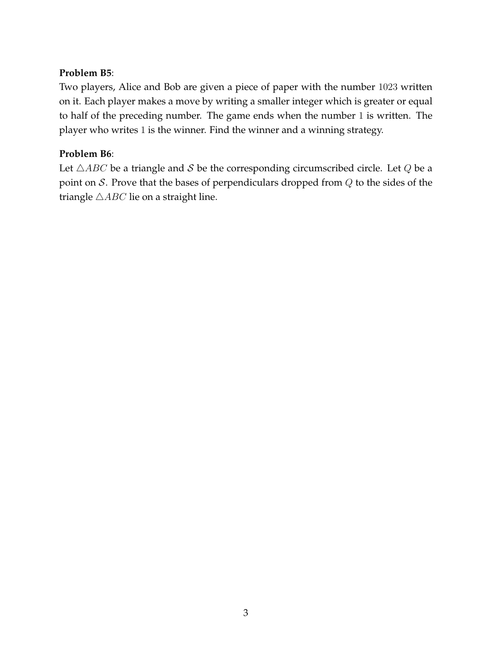#### **Problem B5**:

Two players, Alice and Bob are given a piece of paper with the number 1023 written on it. Each player makes a move by writing a smaller integer which is greater or equal to half of the preceding number. The game ends when the number 1 is written. The player who writes 1 is the winner. Find the winner and a winning strategy.

#### **Problem B6**:

Let  $\triangle ABC$  be a triangle and S be the corresponding circumscribed circle. Let Q be a point on  $S$ . Prove that the bases of perpendiculars dropped from  $Q$  to the sides of the triangle  $\triangle ABC$  lie on a straight line.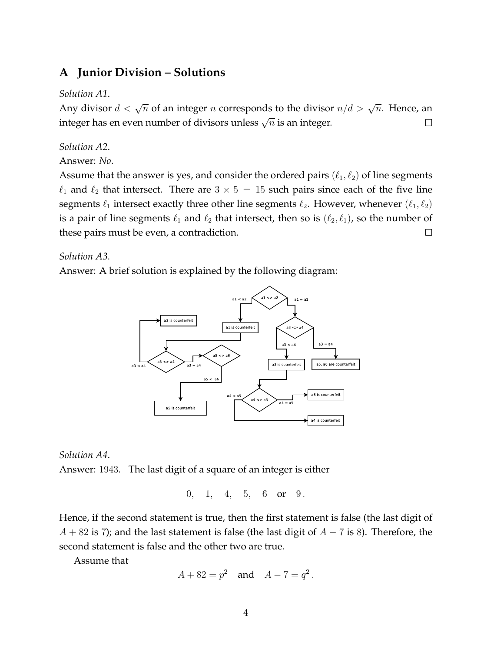## **A Junior Division – Solutions**

#### *Solution A1*.

Any divisor  $d < \sqrt{n}$  of an integer n corresponds to the divisor  $n/d > \sqrt{n}$ . Hence, an integer has en even number of divisors unless  $\sqrt{n}$  is an integer.  $\Box$ 

#### *Solution A2*.

Answer: *No*.

Assume that the answer is yes, and consider the ordered pairs  $(\ell_1, \ell_2)$  of line segments  $\ell_1$  and  $\ell_2$  that intersect. There are  $3 \times 5 = 15$  such pairs since each of the five line segments  $\ell_1$  intersect exactly three other line segments  $\ell_2$ . However, whenever  $(\ell_1, \ell_2)$ is a pair of line segments  $\ell_1$  and  $\ell_2$  that intersect, then so is  $(\ell_2, \ell_1)$ , so the number of these pairs must be even, a contradiction.  $\Box$ 

*Solution A3*.

Answer: A brief solution is explained by the following diagram:



*Solution A4*. Answer: 1943. The last digit of a square of an integer is either

0, 1, 4, 5, 6 or 9.

Hence, if the second statement is true, then the first statement is false (the last digit of  $A + 82$  is 7); and the last statement is false (the last digit of  $A - 7$  is 8). Therefore, the second statement is false and the other two are true.

Assume that

$$
A + 82 = p^2
$$
 and  $A - 7 = q^2$ .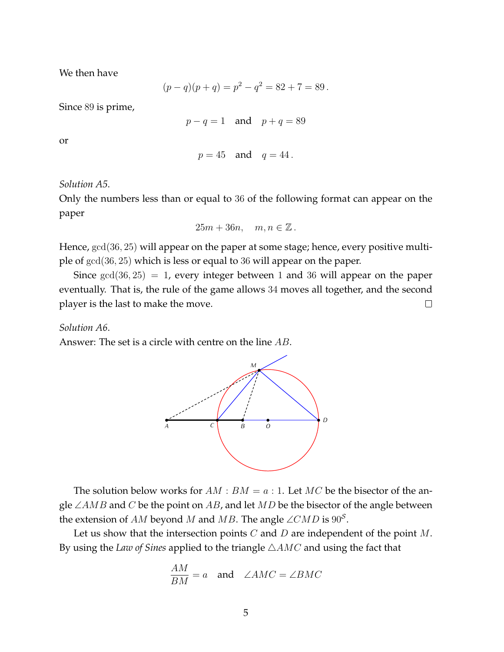We then have

$$
(p - q)(p + q) = p2 - q2 = 82 + 7 = 89.
$$

Since 89 is prime,

$$
p - q = 1 \quad \text{and} \quad p + q = 89
$$

or

$$
p=45 \quad \text{and} \quad q=44.
$$

*Solution A5*.

Only the numbers less than or equal to 36 of the following format can appear on the paper

$$
25m + 36n, \quad m, n \in \mathbb{Z} \, .
$$

Hence,  $gcd(36, 25)$  will appear on the paper at some stage; hence, every positive multiple of gcd(36, 25) which is less or equal to 36 will appear on the paper.

Since  $gcd(36, 25) = 1$ , every integer between 1 and 36 will appear on the paper eventually. That is, the rule of the game allows 34 moves all together, and the second player is the last to make the move.  $\Box$ 

#### *Solution A6*.

Answer: The set is a circle with centre on the line AB.



The solution below works for  $AM : BM = a : 1$ . Let MC be the bisector of the angle ∠AMB and C be the point on AB, and let MD be the bisector of the angle between the extension of AM beyond M and MB. The angle  $\angle CMD$  is  $90^{\circ}$ .

Let us show that the intersection points  $C$  and  $D$  are independent of the point  $M$ . By using the *Law of Sines* applied to the triangle  $\triangle AMC$  and using the fact that

$$
\frac{AM}{BM} = a \quad \text{and} \quad \angle AMC = \angle BMC
$$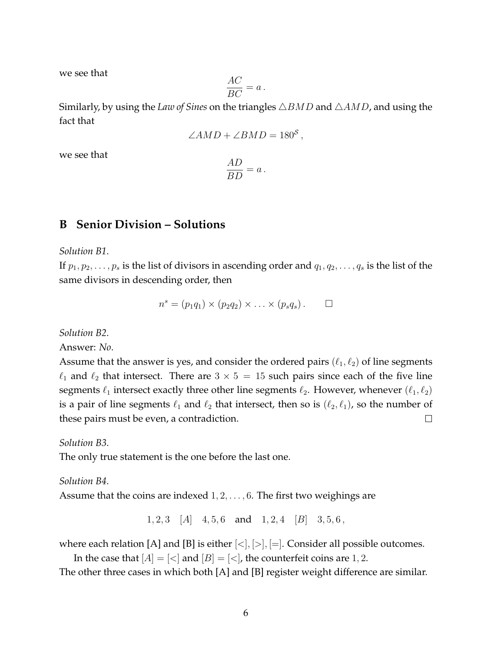we see that

$$
\frac{AC}{BC} = a \, .
$$

Similarly, by using the *Law of Sines* on the triangles  $\triangle BMD$  and  $\triangle AMD$ , and using the fact that

$$
\angle AMD + \angle BMD = 180^S,
$$

we see that

$$
\frac{AD}{BD} = a \, .
$$

## **B Senior Division – Solutions**

*Solution B1*.

If  $p_1, p_2, \ldots, p_s$  is the list of divisors in ascending order and  $q_1, q_2, \ldots, q_s$  is the list of the same divisors in descending order, then

$$
n^s = (p_1q_1) \times (p_2q_2) \times \ldots \times (p_sq_s) . \square
$$

*Solution B2*.

Answer: *No*.

Assume that the answer is yes, and consider the ordered pairs  $(\ell_1, \ell_2)$  of line segments  $\ell_1$  and  $\ell_2$  that intersect. There are  $3 \times 5 = 15$  such pairs since each of the five line segments  $\ell_1$  intersect exactly three other line segments  $\ell_2$ . However, whenever  $(\ell_1, \ell_2)$ is a pair of line segments  $\ell_1$  and  $\ell_2$  that intersect, then so is  $(\ell_2, \ell_1)$ , so the number of these pairs must be even, a contradiction.  $\Box$ 

*Solution B3*.

The only true statement is the one before the last one.

#### *Solution B4*.

Assume that the coins are indexed  $1, 2, \ldots, 6$ . The first two weighings are

 $1, 2, 3$  [A]  $4, 5, 6$  and  $1, 2, 4$  [B]  $3, 5, 6$ ,

where each relation [A] and [B] is either  $|<|$ ,  $|>|$ ,  $|=|$ . Consider all possible outcomes.

In the case that  $[A] = \{< \}$  and  $[B] = \{< \}$ , the counterfeit coins are 1, 2.

The other three cases in which both [A] and [B] register weight difference are similar.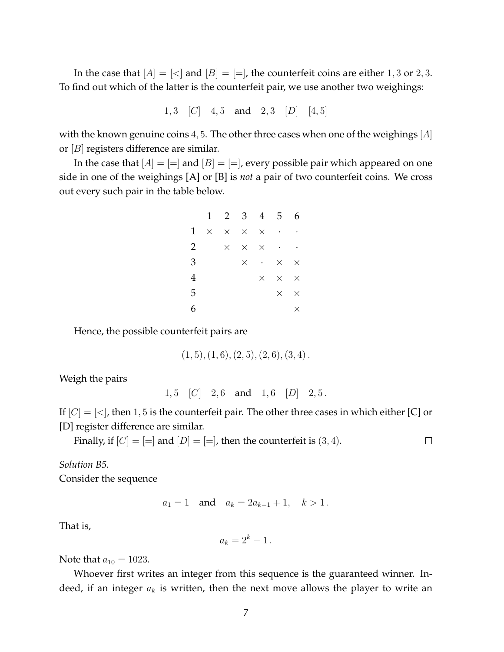In the case that  $[A] = \{ \langle \rangle \}$  and  $[B] = \{ = \}$ , the counterfeit coins are either 1, 3 or 2, 3. To find out which of the latter is the counterfeit pair, we use another two weighings:

1, 3 [C] 4, 5 and 2, 3 [D] [4, 5]

with the known genuine coins 4, 5. The other three cases when one of the weighings  $[A]$ or [B] registers difference are similar.

In the case that  $[A] = ]$  and  $[B] = ]$ , every possible pair which appeared on one side in one of the weighings [A] or [B] is *not* a pair of two counterfeit coins. We cross out every such pair in the table below.

|              | 1        |          | $2 \quad 3$ |                 | $4\quad 5$               | 6                    |
|--------------|----------|----------|-------------|-----------------|--------------------------|----------------------|
| $\mathbf{1}$ | $\times$ | $\times$ | $\times$    | $\times$        | $\overline{\phantom{a}}$ | $\ddot{\phantom{0}}$ |
| 2            |          | $\times$ | $\times$    |                 | $\times$ $\cdot$ $\cdot$ |                      |
| 3            |          |          | $\times$    | $\sim 10^{-11}$ | $\times$                 | $\times$             |
| 4            |          |          |             | $\times$        | $\times$                 | $\times$             |
| 5            |          |          |             |                 | $\times$                 | $\times$             |
| 6            |          |          |             |                 |                          | $\times$             |

Hence, the possible counterfeit pairs are

$$
(1,5), (1,6), (2,5), (2,6), (3,4).
$$

Weigh the pairs

 $1, 5$   $|C|$   $2, 6$  and  $1, 6$   $|D|$   $2, 5$ .

If  $[C] = \{<\}$ , then 1, 5 is the counterfeit pair. The other three cases in which either [C] or [D] register difference are similar.

Finally, if  $[C] = ]$  and  $[D] = ]$ , then the counterfeit is  $(3, 4)$ .

 $\Box$ 

*Solution B5*. Consider the sequence

$$
a_1 = 1
$$
 and  $a_k = 2a_{k-1} + 1$ ,  $k > 1$ .

That is,

$$
a_k = 2^k - 1.
$$

Note that  $a_{10} = 1023$ .

Whoever first writes an integer from this sequence is the guaranteed winner. Indeed, if an integer  $a_k$  is written, then the next move allows the player to write an